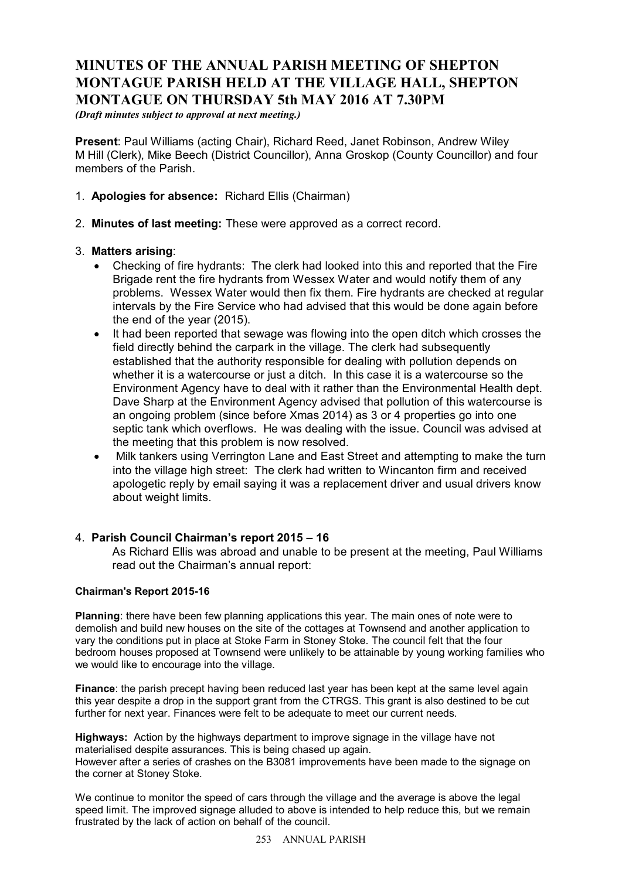# **MINUTES OF THE ANNUAL PARISH MEETING OF SHEPTON MONTAGUE PARISH HELD AT THE VILLAGE HALL, SHEPTON MONTAGUE ON THURSDAY 5th MAY 2016 AT 7.30PM**

*(Draft minutes subject to approval at next meeting.)*

**Present**: Paul Williams (acting Chair), Richard Reed, Janet Robinson, Andrew Wiley M Hill (Clerk), Mike Beech (District Councillor), Anna Groskop (County Councillor) and four members of the Parish.

- 1. **Apologies for absence:** Richard Ellis (Chairman)
- 2. **Minutes of last meeting:** These were approved as a correct record.

## 3. **Matters arising**:

- · Checking of fire hydrants: The clerk had looked into this and reported that the Fire Brigade rent the fire hydrants from Wessex Water and would notify them of any problems. Wessex Water would then fix them. Fire hydrants are checked at regular intervals by the Fire Service who had advised that this would be done again before the end of the year (2015).
- · It had been reported that sewage was flowing into the open ditch which crosses the field directly behind the carpark in the village. The clerk had subsequently established that the authority responsible for dealing with pollution depends on whether it is a watercourse or just a ditch. In this case it is a watercourse so the Environment Agency have to deal with it rather than the Environmental Health dept. Dave Sharp at the Environment Agency advised that pollution of this watercourse is an ongoing problem (since before Xmas 2014) as 3 or 4 properties go into one septic tank which overflows. He was dealing with the issue. Council was advised at the meeting that this problem is now resolved.
- · Milk tankers using Verrington Lane and East Street and attempting to make the turn into the village high street: The clerk had written to Wincanton firm and received apologetic reply by email saying it was a replacement driver and usual drivers know about weight limits.

## 4. **Parish Council Chairman's report 2015 – 16**

As Richard Ellis was abroad and unable to be present at the meeting, Paul Williams read out the Chairman's annual report:

#### **Chairman's Report 2015-16**

**Planning**: there have been few planning applications this year. The main ones of note were to demolish and build new houses on the site of the cottages at Townsend and another application to vary the conditions put in place at Stoke Farm in Stoney Stoke. The council felt that the four bedroom houses proposed at Townsend were unlikely to be attainable by young working families who we would like to encourage into the village.

**Finance**: the parish precept having been reduced last year has been kept at the same level again this year despite a drop in the support grant from the CTRGS. This grant is also destined to be cut further for next year. Finances were felt to be adequate to meet our current needs.

**Highways:** Action by the highways department to improve signage in the village have not materialised despite assurances. This is being chased up again. However after a series of crashes on the B3081 improvements have been made to the signage on the corner at Stoney Stoke.

We continue to monitor the speed of cars through the village and the average is above the legal speed limit. The improved signage alluded to above is intended to help reduce this, but we remain frustrated by the lack of action on behalf of the council.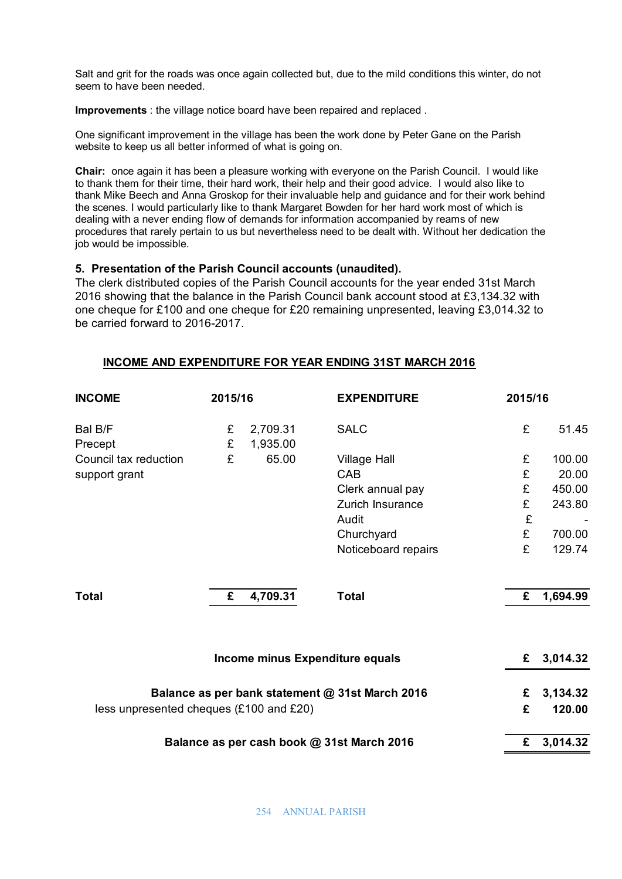Salt and grit for the roads was once again collected but, due to the mild conditions this winter, do not seem to have been needed.

**Improvements** : the village notice board have been repaired and replaced .

One significant improvement in the village has been the work done by Peter Gane on the Parish website to keep us all better informed of what is going on.

**Chair:** once again it has been a pleasure working with everyone on the Parish Council. I would like to thank them for their time, their hard work, their help and their good advice. I would also like to thank Mike Beech and Anna Groskop for their invaluable help and guidance and for their work behind the scenes. I would particularly like to thank Margaret Bowden for her hard work most of which is dealing with a never ending flow of demands for information accompanied by reams of new procedures that rarely pertain to us but nevertheless need to be dealt with. Without her dedication the job would be impossible.

## **5. Presentation of the Parish Council accounts (unaudited).**

The clerk distributed copies of the Parish Council accounts for the year ended 31st March 2016 showing that the balance in the Parish Council bank account stood at £3,134.32 with one cheque for £100 and one cheque for £20 remaining unpresented, leaving £3,014.32 to be carried forward to 2016-2017.

## **INCOME AND EXPENDITURE FOR YEAR ENDING 31ST MARCH 2016**

| <b>INCOME</b>                                   | 2015/16                         |                      | <b>EXPENDITURE</b>  | 2015/16 |            |
|-------------------------------------------------|---------------------------------|----------------------|---------------------|---------|------------|
| Bal B/F<br>Precept                              | £<br>£                          | 2,709.31<br>1,935.00 | <b>SALC</b>         | £       | 51.45      |
| Council tax reduction                           | £                               | 65.00                | <b>Village Hall</b> | £       | 100.00     |
| support grant                                   |                                 |                      | CAB                 | £       | 20.00      |
|                                                 |                                 |                      | Clerk annual pay    | £       | 450.00     |
|                                                 |                                 |                      | Zurich Insurance    | £       | 243.80     |
|                                                 |                                 |                      | Audit               | £       |            |
|                                                 |                                 |                      | Churchyard          | £       | 700.00     |
|                                                 |                                 |                      | Noticeboard repairs | £       | 129.74     |
| <b>Total</b>                                    | £                               | 4,709.31             | <b>Total</b>        | £       | 1,694.99   |
|                                                 | Income minus Expenditure equals |                      |                     |         | £ 3,014.32 |
| Balance as per bank statement @ 31st March 2016 |                                 |                      |                     | £       | 3,134.32   |
| less unpresented cheques (£100 and £20)         |                                 |                      |                     | £       | 120.00     |
| Balance as per cash book @ 31st March 2016      |                                 |                      |                     | £       | 3,014.32   |